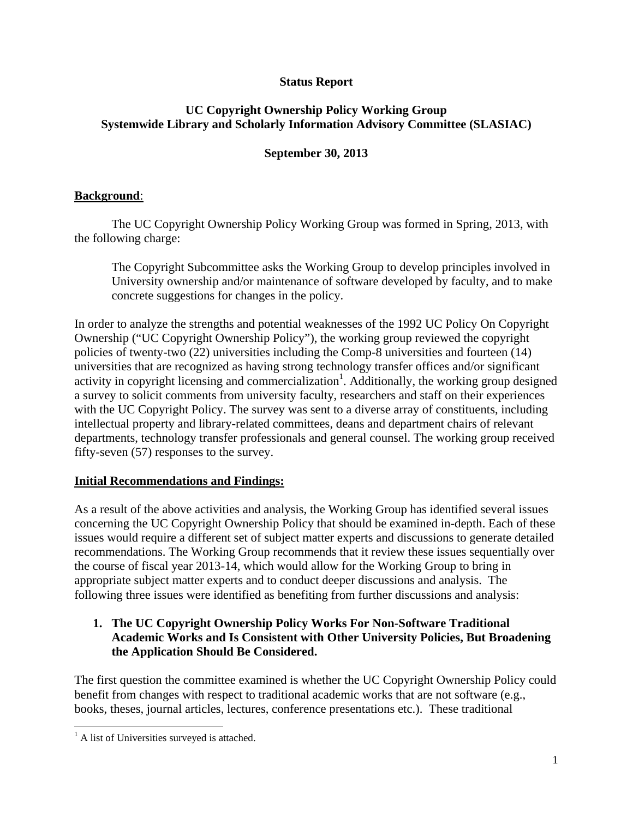## **Status Report**

### **UC Copyright Ownership Policy Working Group Systemwide Library and Scholarly Information Advisory Committee (SLASIAC)**

## **September 30, 2013**

## **Background**:

 The UC Copyright Ownership Policy Working Group was formed in Spring, 2013, with the following charge:

The Copyright Subcommittee asks the Working Group to develop principles involved in University ownership and/or maintenance of software developed by faculty, and to make concrete suggestions for changes in the policy.

In order to analyze the strengths and potential weaknesses of the 1992 UC Policy On Copyright Ownership ("UC Copyright Ownership Policy"), the working group reviewed the copyright policies of twenty-two (22) universities including the Comp-8 universities and fourteen (14) universities that are recognized as having strong technology transfer offices and/or significant activity in copyright licensing and commercialization<sup>1</sup>. Additionally, the working group designed a survey to solicit comments from university faculty, researchers and staff on their experiences with the UC Copyright Policy. The survey was sent to a diverse array of constituents, including intellectual property and library-related committees, deans and department chairs of relevant departments, technology transfer professionals and general counsel. The working group received fifty-seven (57) responses to the survey.

#### **Initial Recommendations and Findings:**

As a result of the above activities and analysis, the Working Group has identified several issues concerning the UC Copyright Ownership Policy that should be examined in-depth. Each of these issues would require a different set of subject matter experts and discussions to generate detailed recommendations. The Working Group recommends that it review these issues sequentially over the course of fiscal year 2013-14, which would allow for the Working Group to bring in appropriate subject matter experts and to conduct deeper discussions and analysis. The following three issues were identified as benefiting from further discussions and analysis:

## **1. The UC Copyright Ownership Policy Works For Non-Software Traditional Academic Works and Is Consistent with Other University Policies, But Broadening the Application Should Be Considered.**

The first question the committee examined is whether the UC Copyright Ownership Policy could benefit from changes with respect to traditional academic works that are not software (e.g., books, theses, journal articles, lectures, conference presentations etc.). These traditional

 $\overline{a}$ 

<sup>&</sup>lt;sup>1</sup> A list of Universities surveyed is attached.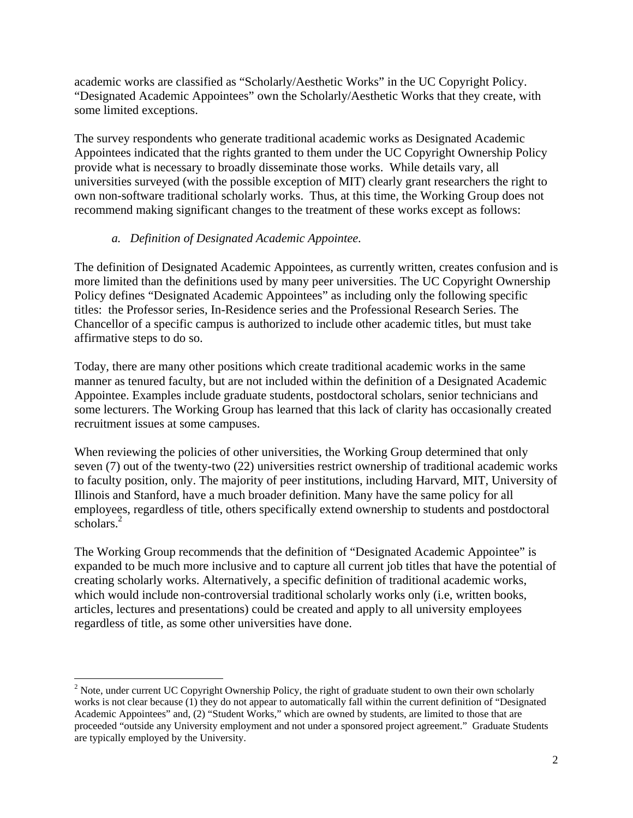academic works are classified as "Scholarly/Aesthetic Works" in the UC Copyright Policy. "Designated Academic Appointees" own the Scholarly/Aesthetic Works that they create, with some limited exceptions.

The survey respondents who generate traditional academic works as Designated Academic Appointees indicated that the rights granted to them under the UC Copyright Ownership Policy provide what is necessary to broadly disseminate those works. While details vary, all universities surveyed (with the possible exception of MIT) clearly grant researchers the right to own non-software traditional scholarly works. Thus, at this time, the Working Group does not recommend making significant changes to the treatment of these works except as follows:

#### *a. Definition of Designated Academic Appointee.*

The definition of Designated Academic Appointees, as currently written, creates confusion and is more limited than the definitions used by many peer universities. The UC Copyright Ownership Policy defines "Designated Academic Appointees" as including only the following specific titles: the Professor series, In-Residence series and the Professional Research Series. The Chancellor of a specific campus is authorized to include other academic titles, but must take affirmative steps to do so.

Today, there are many other positions which create traditional academic works in the same manner as tenured faculty, but are not included within the definition of a Designated Academic Appointee. Examples include graduate students, postdoctoral scholars, senior technicians and some lecturers. The Working Group has learned that this lack of clarity has occasionally created recruitment issues at some campuses.

When reviewing the policies of other universities, the Working Group determined that only seven (7) out of the twenty-two (22) universities restrict ownership of traditional academic works to faculty position, only. The majority of peer institutions, including Harvard, MIT, University of Illinois and Stanford, have a much broader definition. Many have the same policy for all employees, regardless of title, others specifically extend ownership to students and postdoctoral scholars.<sup>2</sup>

The Working Group recommends that the definition of "Designated Academic Appointee" is expanded to be much more inclusive and to capture all current job titles that have the potential of creating scholarly works. Alternatively, a specific definition of traditional academic works, which would include non-controversial traditional scholarly works only (i.e, written books, articles, lectures and presentations) could be created and apply to all university employees regardless of title, as some other universities have done.

<sup>1</sup> <sup>2</sup> Note, under current UC Copyright Ownership Policy, the right of graduate student to own their own scholarly works is not clear because (1) they do not appear to automatically fall within the current definition of "Designated Academic Appointees" and, (2) "Student Works," which are owned by students, are limited to those that are proceeded "outside any University employment and not under a sponsored project agreement." Graduate Students are typically employed by the University.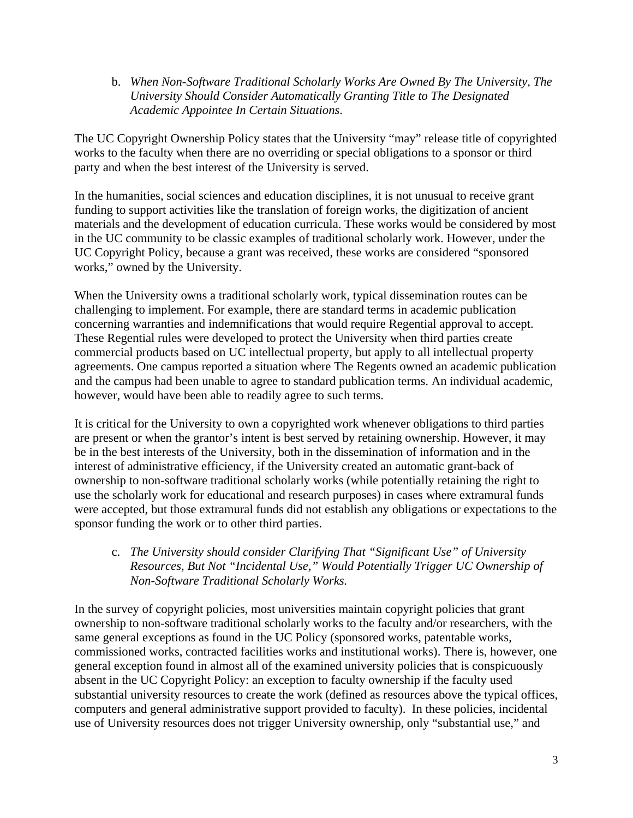b. *When Non-Software Traditional Scholarly Works Are Owned By The University, The University Should Consider Automatically Granting Title to The Designated Academic Appointee In Certain Situations*.

The UC Copyright Ownership Policy states that the University "may" release title of copyrighted works to the faculty when there are no overriding or special obligations to a sponsor or third party and when the best interest of the University is served.

In the humanities, social sciences and education disciplines, it is not unusual to receive grant funding to support activities like the translation of foreign works, the digitization of ancient materials and the development of education curricula. These works would be considered by most in the UC community to be classic examples of traditional scholarly work. However, under the UC Copyright Policy, because a grant was received, these works are considered "sponsored works," owned by the University.

When the University owns a traditional scholarly work, typical dissemination routes can be challenging to implement. For example, there are standard terms in academic publication concerning warranties and indemnifications that would require Regential approval to accept. These Regential rules were developed to protect the University when third parties create commercial products based on UC intellectual property, but apply to all intellectual property agreements. One campus reported a situation where The Regents owned an academic publication and the campus had been unable to agree to standard publication terms. An individual academic, however, would have been able to readily agree to such terms.

It is critical for the University to own a copyrighted work whenever obligations to third parties are present or when the grantor's intent is best served by retaining ownership. However, it may be in the best interests of the University, both in the dissemination of information and in the interest of administrative efficiency, if the University created an automatic grant-back of ownership to non-software traditional scholarly works (while potentially retaining the right to use the scholarly work for educational and research purposes) in cases where extramural funds were accepted, but those extramural funds did not establish any obligations or expectations to the sponsor funding the work or to other third parties.

c. *The University should consider Clarifying That "Significant Use" of University Resources, But Not "Incidental Use," Would Potentially Trigger UC Ownership of Non-Software Traditional Scholarly Works.*

In the survey of copyright policies, most universities maintain copyright policies that grant ownership to non-software traditional scholarly works to the faculty and/or researchers, with the same general exceptions as found in the UC Policy (sponsored works, patentable works, commissioned works, contracted facilities works and institutional works). There is, however, one general exception found in almost all of the examined university policies that is conspicuously absent in the UC Copyright Policy: an exception to faculty ownership if the faculty used substantial university resources to create the work (defined as resources above the typical offices, computers and general administrative support provided to faculty). In these policies, incidental use of University resources does not trigger University ownership, only "substantial use," and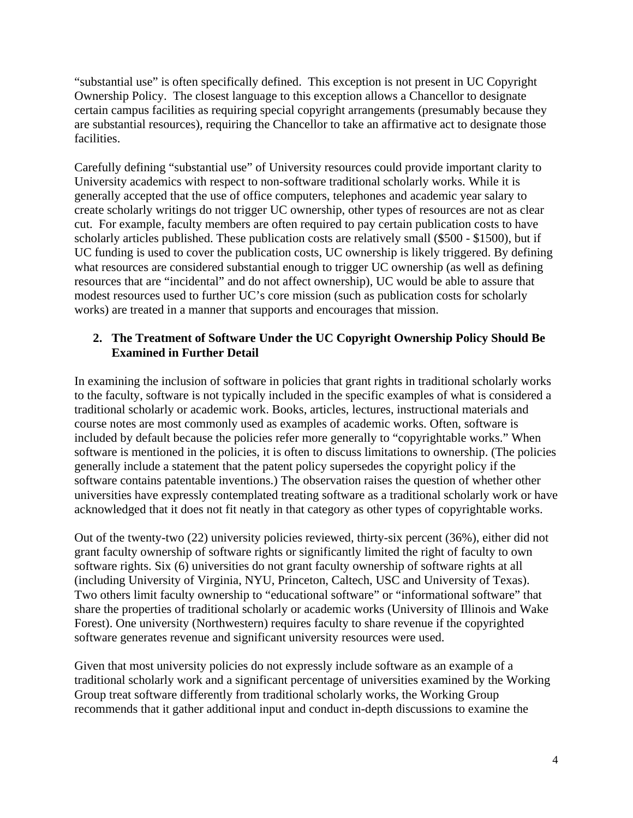"substantial use" is often specifically defined. This exception is not present in UC Copyright Ownership Policy. The closest language to this exception allows a Chancellor to designate certain campus facilities as requiring special copyright arrangements (presumably because they are substantial resources), requiring the Chancellor to take an affirmative act to designate those facilities.

Carefully defining "substantial use" of University resources could provide important clarity to University academics with respect to non-software traditional scholarly works. While it is generally accepted that the use of office computers, telephones and academic year salary to create scholarly writings do not trigger UC ownership, other types of resources are not as clear cut. For example, faculty members are often required to pay certain publication costs to have scholarly articles published. These publication costs are relatively small (\$500 - \$1500), but if UC funding is used to cover the publication costs, UC ownership is likely triggered. By defining what resources are considered substantial enough to trigger UC ownership (as well as defining resources that are "incidental" and do not affect ownership), UC would be able to assure that modest resources used to further UC's core mission (such as publication costs for scholarly works) are treated in a manner that supports and encourages that mission.

### **2. The Treatment of Software Under the UC Copyright Ownership Policy Should Be Examined in Further Detail**

In examining the inclusion of software in policies that grant rights in traditional scholarly works to the faculty, software is not typically included in the specific examples of what is considered a traditional scholarly or academic work. Books, articles, lectures, instructional materials and course notes are most commonly used as examples of academic works. Often, software is included by default because the policies refer more generally to "copyrightable works." When software is mentioned in the policies, it is often to discuss limitations to ownership. (The policies generally include a statement that the patent policy supersedes the copyright policy if the software contains patentable inventions.) The observation raises the question of whether other universities have expressly contemplated treating software as a traditional scholarly work or have acknowledged that it does not fit neatly in that category as other types of copyrightable works.

Out of the twenty-two (22) university policies reviewed, thirty-six percent (36%), either did not grant faculty ownership of software rights or significantly limited the right of faculty to own software rights. Six (6) universities do not grant faculty ownership of software rights at all (including University of Virginia, NYU, Princeton, Caltech, USC and University of Texas). Two others limit faculty ownership to "educational software" or "informational software" that share the properties of traditional scholarly or academic works (University of Illinois and Wake Forest). One university (Northwestern) requires faculty to share revenue if the copyrighted software generates revenue and significant university resources were used.

Given that most university policies do not expressly include software as an example of a traditional scholarly work and a significant percentage of universities examined by the Working Group treat software differently from traditional scholarly works, the Working Group recommends that it gather additional input and conduct in-depth discussions to examine the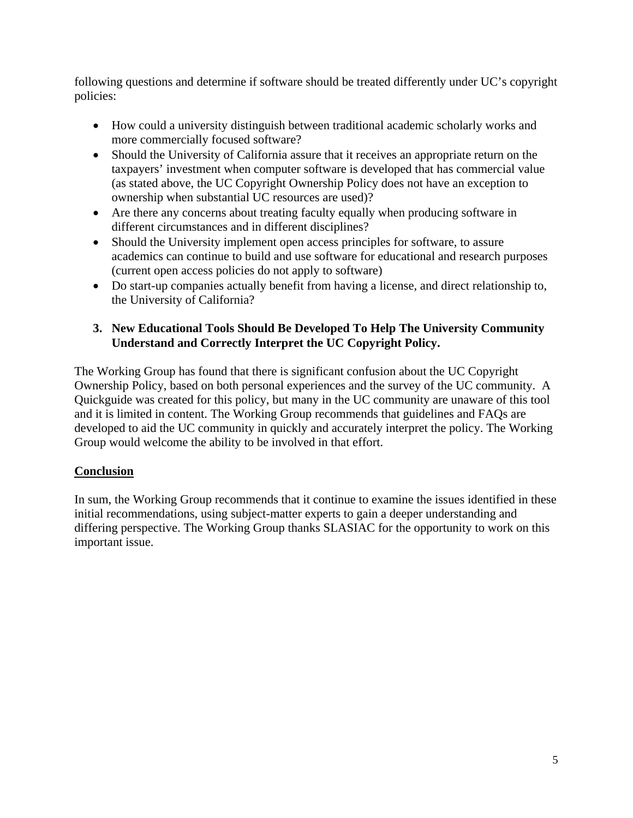following questions and determine if software should be treated differently under UC's copyright policies:

- How could a university distinguish between traditional academic scholarly works and more commercially focused software?
- Should the University of California assure that it receives an appropriate return on the taxpayers' investment when computer software is developed that has commercial value (as stated above, the UC Copyright Ownership Policy does not have an exception to ownership when substantial UC resources are used)?
- Are there any concerns about treating faculty equally when producing software in different circumstances and in different disciplines?
- Should the University implement open access principles for software, to assure academics can continue to build and use software for educational and research purposes (current open access policies do not apply to software)
- Do start-up companies actually benefit from having a license, and direct relationship to, the University of California?

## **3. New Educational Tools Should Be Developed To Help The University Community Understand and Correctly Interpret the UC Copyright Policy.**

The Working Group has found that there is significant confusion about the UC Copyright Ownership Policy, based on both personal experiences and the survey of the UC community. A Quickguide was created for this policy, but many in the UC community are unaware of this tool and it is limited in content. The Working Group recommends that guidelines and FAQs are developed to aid the UC community in quickly and accurately interpret the policy. The Working Group would welcome the ability to be involved in that effort.

# **Conclusion**

In sum, the Working Group recommends that it continue to examine the issues identified in these initial recommendations, using subject-matter experts to gain a deeper understanding and differing perspective. The Working Group thanks SLASIAC for the opportunity to work on this important issue.